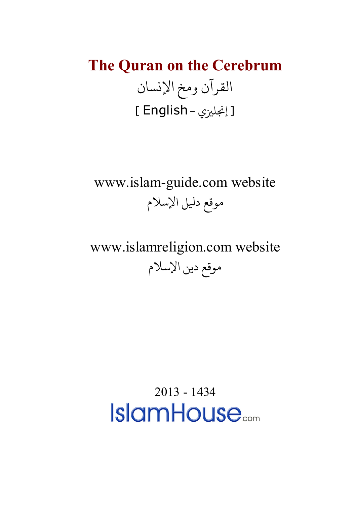# **The Quran on the Cerebrum** القرآن ومخ الإنسان [ إنجليزى - English ]

### www.islam-guide.com website موقع دليل الإسلام

## www.islamreligion.com website موقع دين الإسلام

2013 - 1434**IslamHouse.com**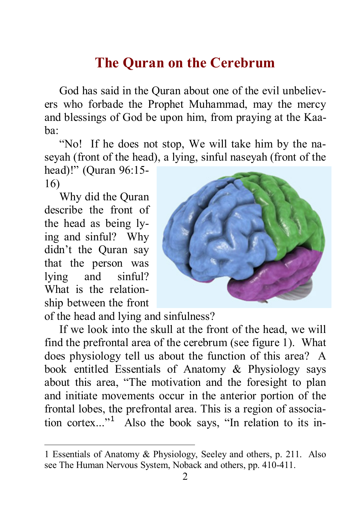#### **The Quran on the Cerebrum**

God has said in the Quran about one of the evil unbelievers who forbade the Prophet Muhammad, may the mercy and blessings of God be upon him, from praying at the Kaaba:

"No! If he does not stop, We will take him by the naseyah (front of the head), a lying, sinful naseyah (front of the

head)!" (Quran 96:15- 16)

Why did the Quran describe the front of the head as being lying and sinful? Why didn't the Quran say that the person was lying and sinful? What is the relationship between the front

-



of the head and lying and sinfulness?

If we look into the skull at the front of the head, we will find the prefrontal area of the cerebrum (see figure 1). What does physiology tell us about the function of this area? A book entitled Essentials of Anatomy & Physiology says about this area, "The motivation and the foresight to plan and initiate movements occur in the anterior portion of the frontal lobes, the prefrontal area. This is a region of association cortex..."[1](#page-1-0) Also the book says, "In relation to its in-

<span id="page-1-0"></span><sup>1</sup> Essentials of Anatomy & Physiology, Seeley and others, p. 211. Also see The Human Nervous System, Noback and others, pp. 410-411.